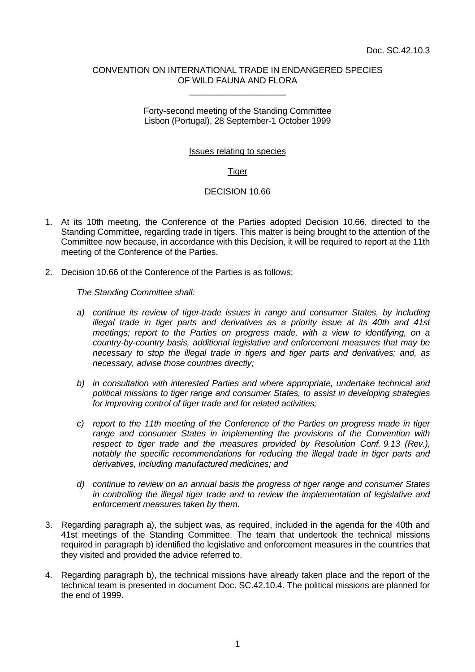## CONVENTION ON INTERNATIONAL TRADE IN ENDANGERED SPECIES OF WILD FAUNA AND FLORA \_\_\_\_\_\_\_\_\_\_\_\_\_\_\_\_\_\_\_\_

## Forty-second meeting of the Standing Committee Lisbon (Portugal), 28 September-1 October 1999

#### Issues relating to species

## **Tiger**

# DECISION 10.66

- 1. At its 10th meeting, the Conference of the Parties adopted Decision 10.66, directed to the Standing Committee, regarding trade in tigers. This matter is being brought to the attention of the Committee now because, in accordance with this Decision, it will be required to report at the 11th meeting of the Conference of the Parties.
- 2. Decision 10.66 of the Conference of the Parties is as follows:

*The Standing Committee shall:*

- *a) continue its review of tiger-trade issues in range and consumer States, by including illegal trade in tiger parts and derivatives as a priority issue at its 40th and 41st meetings; report to the Parties on progress made, with a view to identifying, on a country-by-country basis, additional legislative and enforcement measures that may be necessary to stop the illegal trade in tigers and tiger parts and derivatives; and, as necessary, advise those countries directly;*
- *b) in consultation with interested Parties and where appropriate, undertake technical and political missions to tiger range and consumer States, to assist in developing strategies for improving control of tiger trade and for related activities;*
- *c) report to the 11th meeting of the Conference of the Parties on progress made in tiger range and consumer States in implementing the provisions of the Convention with respect to tiger trade and the measures provided by Resolution Conf. 9.13 (Rev.), notably the specific recommendations for reducing the illegal trade in tiger parts and derivatives, including manufactured medicines; and*
- *d) continue to review on an annual basis the progress of tiger range and consumer States in controlling the illegal tiger trade and to review the implementation of legislative and enforcement measures taken by them.*
- 3. Regarding paragraph a), the subject was, as required, included in the agenda for the 40th and 41st meetings of the Standing Committee. The team that undertook the technical missions required in paragraph b) identified the legislative and enforcement measures in the countries that they visited and provided the advice referred to.
- 4. Regarding paragraph b), the technical missions have already taken place and the report of the technical team is presented in document Doc. SC.42.10.4. The political missions are planned for the end of 1999.